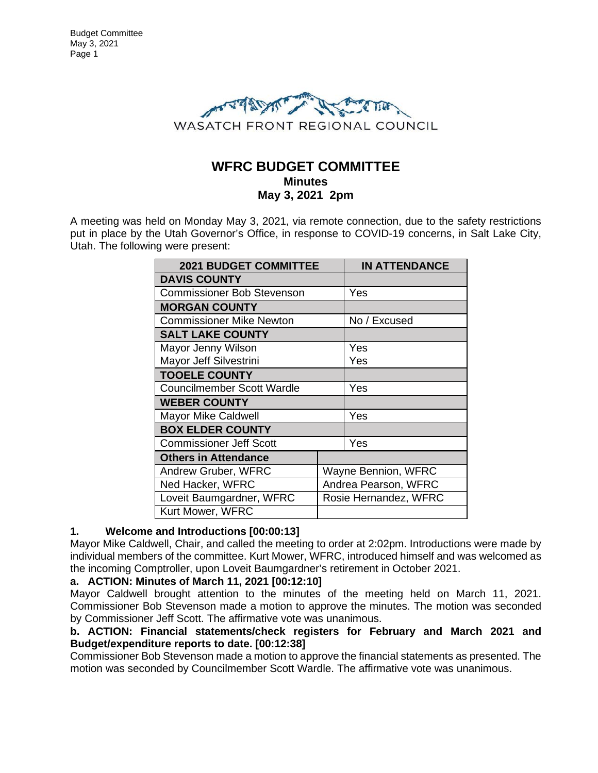

# **WFRC BUDGET COMMITTEE Minutes May 3, 2021 2pm**

A meeting was held on Monday May 3, 2021, via remote connection, due to the safety restrictions put in place by the Utah Governor's Office, in response to COVID-19 concerns, in Salt Lake City, Utah. The following were present:

| <b>2021 BUDGET COMMITTEE</b>      |                       | <b>IN ATTENDANCE</b> |
|-----------------------------------|-----------------------|----------------------|
| <b>DAVIS COUNTY</b>               |                       |                      |
| <b>Commissioner Bob Stevenson</b> |                       | Yes                  |
| <b>MORGAN COUNTY</b>              |                       |                      |
| <b>Commissioner Mike Newton</b>   |                       | No / Excused         |
| <b>SALT LAKE COUNTY</b>           |                       |                      |
| Mayor Jenny Wilson                |                       | Yes                  |
| Mayor Jeff Silvestrini            |                       | Yes                  |
| <b>TOOELE COUNTY</b>              |                       |                      |
| <b>Councilmember Scott Wardle</b> |                       | Yes                  |
| <b>WEBER COUNTY</b>               |                       |                      |
| <b>Mayor Mike Caldwell</b>        |                       | Yes                  |
| <b>BOX ELDER COUNTY</b>           |                       |                      |
| <b>Commissioner Jeff Scott</b>    |                       | Yes                  |
| <b>Others in Attendance</b>       |                       |                      |
| Andrew Gruber, WFRC               | Wayne Bennion, WFRC   |                      |
| Ned Hacker, WFRC                  | Andrea Pearson, WFRC  |                      |
| Loveit Baumgardner, WFRC          | Rosie Hernandez, WFRC |                      |
| Kurt Mower, WFRC                  |                       |                      |

# **1. Welcome and Introductions [00:00:13]**

Mayor Mike Caldwell, Chair, and called the meeting to order at 2:02pm. Introductions were made by individual members of the committee. Kurt Mower, WFRC, introduced himself and was welcomed as the incoming Comptroller, upon Loveit Baumgardner's retirement in October 2021.

# **a. ACTION: Minutes of March 11, 2021 [00:12:10]**

Mayor Caldwell brought attention to the minutes of the meeting held on March 11, 2021. Commissioner Bob Stevenson made a motion to approve the minutes. The motion was seconded by Commissioner Jeff Scott. The affirmative vote was unanimous.

### **b. ACTION: Financial statements/check registers for February and March 2021 and Budget/expenditure reports to date. [00:12:38]**

Commissioner Bob Stevenson made a motion to approve the financial statements as presented. The motion was seconded by Councilmember Scott Wardle. The affirmative vote was unanimous.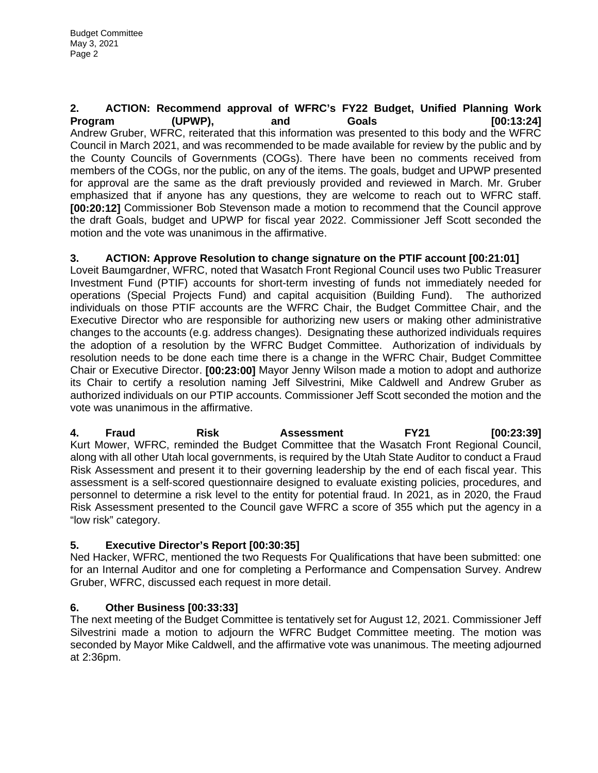**2. ACTION: Recommend approval of WFRC's FY22 Budget, Unified Planning Work Program (UPWP), and Goals [00:13:24]** Andrew Gruber, WFRC, reiterated that this information was presented to this body and the WFRC Council in March 2021, and was recommended to be made available for review by the public and by the County Councils of Governments (COGs). There have been no comments received from members of the COGs, nor the public, on any of the items. The goals, budget and UPWP presented for approval are the same as the draft previously provided and reviewed in March. Mr. Gruber emphasized that if anyone has any questions, they are welcome to reach out to WFRC staff. **[00:20:12]** Commissioner Bob Stevenson made a motion to recommend that the Council approve the draft Goals, budget and UPWP for fiscal year 2022. Commissioner Jeff Scott seconded the motion and the vote was unanimous in the affirmative.

**3. ACTION: Approve Resolution to change signature on the PTIF account [00:21:01]**

Loveit Baumgardner, WFRC, noted that Wasatch Front Regional Council uses two Public Treasurer Investment Fund (PTIF) accounts for short-term investing of funds not immediately needed for operations (Special Projects Fund) and capital acquisition (Building Fund). The authorized individuals on those PTIF accounts are the WFRC Chair, the Budget Committee Chair, and the Executive Director who are responsible for authorizing new users or making other administrative changes to the accounts (e.g. address changes). Designating these authorized individuals requires the adoption of a resolution by the WFRC Budget Committee. Authorization of individuals by resolution needs to be done each time there is a change in the WFRC Chair, Budget Committee Chair or Executive Director. **[00:23:00]** Mayor Jenny Wilson made a motion to adopt and authorize its Chair to certify a resolution naming Jeff Silvestrini, Mike Caldwell and Andrew Gruber as authorized individuals on our PTIP accounts. Commissioner Jeff Scott seconded the motion and the vote was unanimous in the affirmative.

**4. Fraud Risk Assessment FY21 [00:23:39]** Kurt Mower, WFRC, reminded the Budget Committee that the Wasatch Front Regional Council, along with all other Utah local governments, is required by the Utah State Auditor to conduct a Fraud Risk Assessment and present it to their governing leadership by the end of each fiscal year. This assessment is a self-scored questionnaire designed to evaluate existing policies, procedures, and personnel to determine a risk level to the entity for potential fraud. In 2021, as in 2020, the Fraud Risk Assessment presented to the Council gave WFRC a score of 355 which put the agency in a "low risk" category.

# **5. Executive Director's Report [00:30:35]**

Ned Hacker, WFRC, mentioned the two Requests For Qualifications that have been submitted: one for an Internal Auditor and one for completing a Performance and Compensation Survey. Andrew Gruber, WFRC, discussed each request in more detail.

# **6. Other Business [00:33:33]**

The next meeting of the Budget Committee is tentatively set for August 12, 2021. Commissioner Jeff Silvestrini made a motion to adjourn the WFRC Budget Committee meeting. The motion was seconded by Mayor Mike Caldwell, and the affirmative vote was unanimous. The meeting adjourned at 2:36pm.